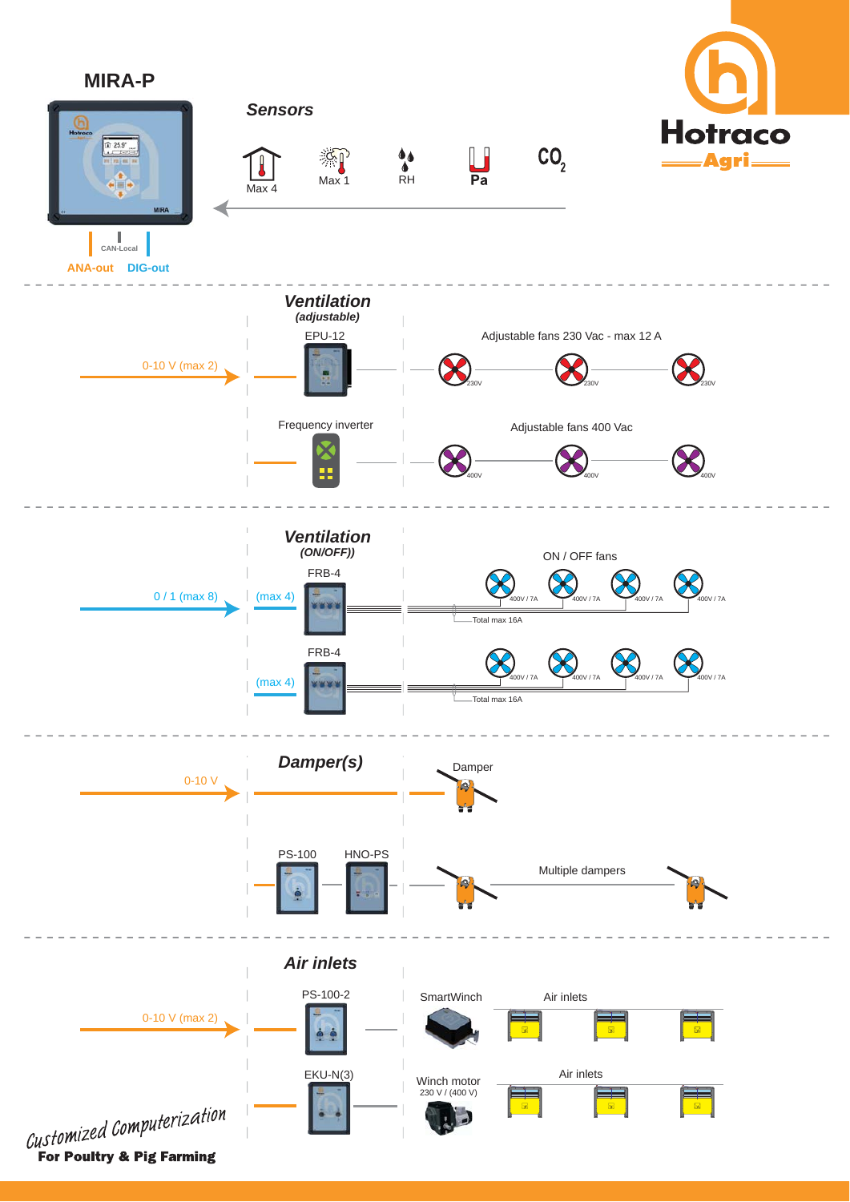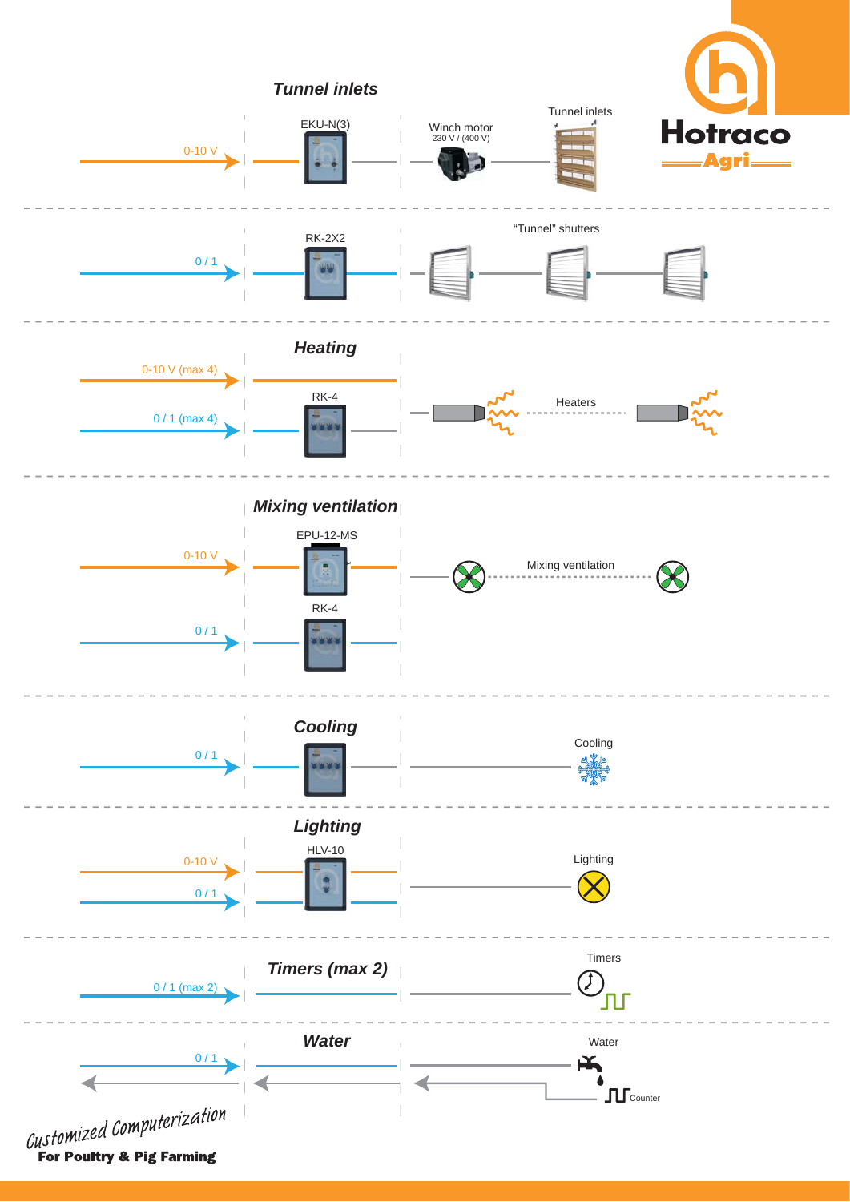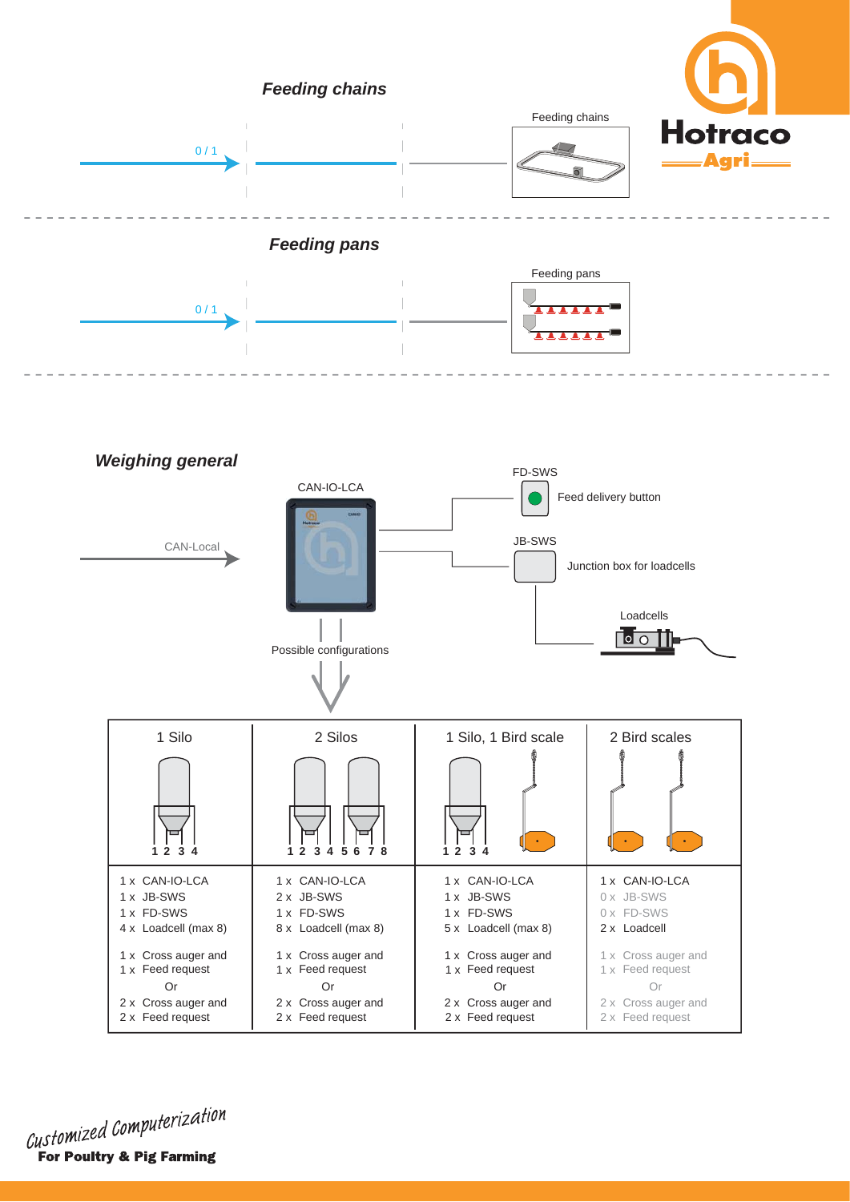

Customized Computerization For Poultry & Pig Farming